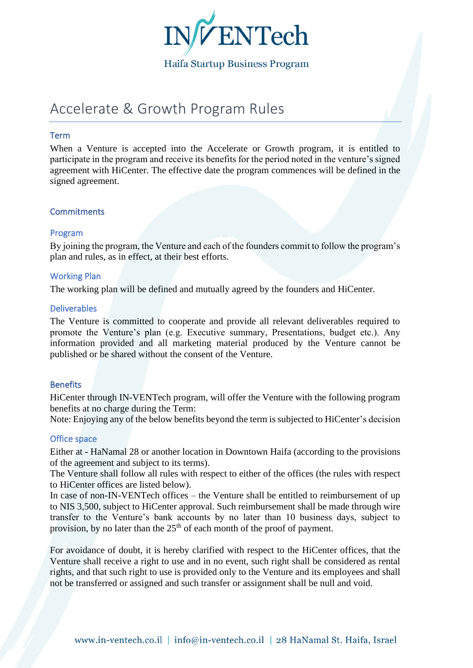

# Haifa Startup Business Program

# Accelerate & Growth Program Rules

## Term

When a Venture is accepted into the Accelerate or Growth program, it is entitled to participate in the program and receive its benefits for the period noted in the venture's signed agreement with HiCenter. The effective date the program commences will be defined in the signed agreement.

## **Commitments**

## Program

By joining the program, the Venture and each of the founders commit to follow the program's plan and rules, as in effect, at their best efforts.

## Working Plan

The working plan will be defined and mutually agreed by the founders and HiCenter.

### Deliverables

The Venture is committed to cooperate and provide all relevant deliverables required to promote the Venture's plan (e.g. Executive summary, Presentations, budget etc.). Any information provided and all marketing material produced by the Venture cannot be published or be shared without the consent of the Venture.

## **Benefits**

HiCenter through IN-VENTech program, will offer the Venture with the following program benefits at no charge during the Term:

Note: Enjoying any of the below benefits beyond the term is subjected to HiCenter's decision

## Office space

Either at - HaNamal 28 or another location in Downtown Haifa (according to the provisions of the agreement and subject to its terms).

The Venture shall follow all rules with respect to either of the offices (the rules with respect to HiCenter offices are listed below).

In case of non-IN-VENTech offices – the Venture shall be entitled to reimbursement of up to NIS 3,500, subject to HiCenter approval. Such reimbursement shall be made through wire transfer to the Venture's bank accounts by no later than 10 business days, subject to provision, by no later than the  $25<sup>th</sup>$  of each month of the proof of payment.

For avoidance of doubt, it is hereby clarified with respect to the HiCenter offices, that the Venture shall receive a right to use and in no event, such right shall be considered as rental rights, and that such right to use is provided only to the Venture and its employees and shall not be transferred or assigned and such transfer or assignment shall be null and void.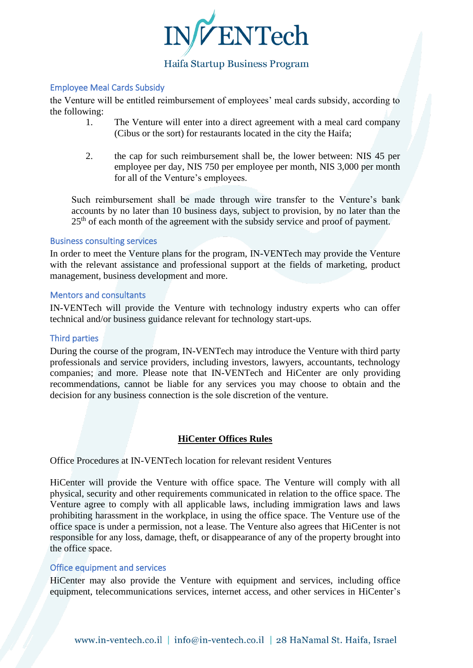

# Haifa Startup Business Program

## Employee Meal Cards Subsidy

the Venture will be entitled reimbursement of employees' meal cards subsidy, according to the following:

- 1. The Venture will enter into a direct agreement with a meal card company (Cibus or the sort) for restaurants located in the city the Haifa;
- 2. the cap for such reimbursement shall be, the lower between: NIS 45 per employee per day, NIS 750 per employee per month, NIS 3,000 per month for all of the Venture's employees.

Such reimbursement shall be made through wire transfer to the Venture's bank accounts by no later than 10 business days, subject to provision, by no later than the 25<sup>th</sup> of each month of the agreement with the subsidy service and proof of payment.

## Business consulting services

In order to meet the Venture plans for the program, IN-VENTech may provide the Venture with the relevant assistance and professional support at the fields of marketing, product management, business development and more.

## Mentors and consultants

IN-VENTech will provide the Venture with technology industry experts who can offer technical and/or business guidance relevant for technology start-ups.

#### Third parties

During the course of the program, IN-VENTech may introduce the Venture with third party professionals and service providers, including investors, lawyers, accountants, technology companies; and more. Please note that IN-VENTech and HiCenter are only providing recommendations, cannot be liable for any services you may choose to obtain and the decision for any business connection is the sole discretion of the venture.

## **HiCenter Offices Rules**

Office Procedures at IN-VENTech location for relevant resident Ventures

HiCenter will provide the Venture with office space. The Venture will comply with all physical, security and other requirements communicated in relation to the office space. The Venture agree to comply with all applicable laws, including immigration laws and laws prohibiting harassment in the workplace, in using the office space. The Venture use of the office space is under a permission, not a lease. The Venture also agrees that HiCenter is not responsible for any loss, damage, theft, or disappearance of any of the property brought into the office space.

### Office equipment and services

HiCenter may also provide the Venture with equipment and services, including office equipment, telecommunications services, internet access, and other services in HiCenter's